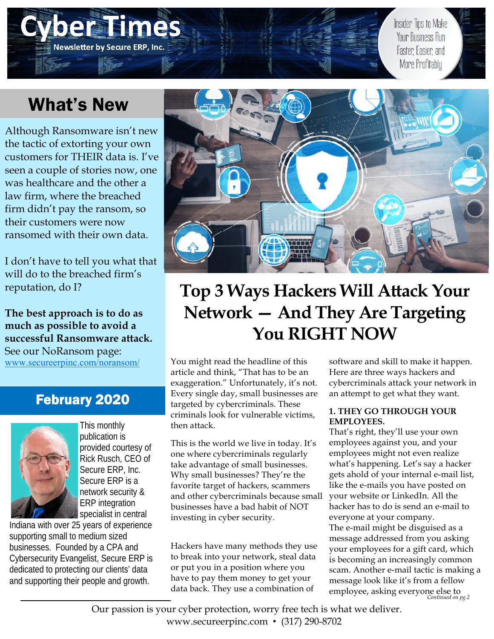# What's New

**Newsletter by Secure ERP, Inc.** 

Although Ransomware isn't new the tactic of extorting your own customers for THEIR data is. I've seen a couple of stories now, one was healthcare and the other a law firm, where the breached firm didn't pay the ransom, so their customers were now ransomed with their own data.

I don't have to tell you what that will do to the breached firm's reputation, do I?

**The best approach is to do as much as possible to avoid a successful Ransomware attack.**  See our NoRansom page: www.secureerpinc.com/noransom/

## February 2020



This monthly publication is provided courtesy of Rick Rusch, CEO of Secure ERP, Inc. Secure ERP is a network security & ERP integration specialist in central

Indiana with over 25 years of experience supporting small to medium sized businesses. Founded by a CPA and Cybersecurity Evangelist, Secure ERP is dedicated to protecting our clients' data and supporting their people and growth.



# **Top 3 Ways Hackers Will Attack Your Network — And They Are Targeting You RIGHT NOW**

You might read the headline of this article and think, "That has to be an exaggeration." Unfortunately, it's not. Every single day, small businesses are targeted by cybercriminals. These criminals look for vulnerable victims, then attack.

This is the world we live in today. It's one where cybercriminals regularly take advantage of small businesses. Why small businesses? They're the favorite target of hackers, scammers and other cybercriminals because small businesses have a bad habit of NOT investing in cyber security.

Hackers have many methods they use to break into your network, steal data or put you in a position where you have to pay them money to get your data back. They use a combination of

software and skill to make it happen. Here are three ways hackers and cybercriminals attack your network in an attempt to get what they want.

Insider Tips to Make Your Business Run

Faster Easier and More Profitably

### **1. THEY GO THROUGH YOUR EMPLOYEES.**

That's right, they'll use your own employees against you, and your employees might not even realize what's happening. Let's say a hacker gets ahold of your internal e-mail list, like the e-mails you have posted on your website or LinkedIn. All the hacker has to do is send an e-mail to everyone at your company. The e-mail might be disguised as a message addressed from you asking your employees for a gift card, which is becoming an increasingly common scam. Another e-mail tactic is making a message look like it's from a fellow employee, asking everyone else to *Continued on pg.2* 

Our passion is your cyber protection, worry free tech is what we deliver. www.secureerpinc.com • (317) 290-8702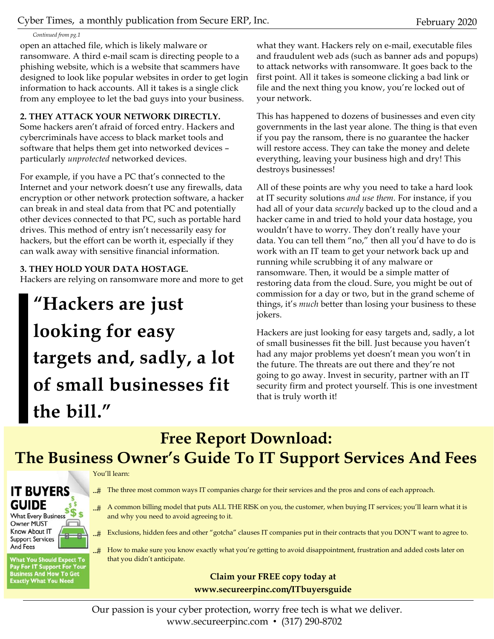*Continued from pg.1* 

open an attached file, which is likely malware or ransomware. A third e-mail scam is directing people to a phishing website, which is a website that scammers have designed to look like popular websites in order to get login information to hack accounts. All it takes is a single click from any employee to let the bad guys into your business.

### **2. THEY ATTACK YOUR NETWORK DIRECTLY.**

Some hackers aren't afraid of forced entry. Hackers and cybercriminals have access to black market tools and software that helps them get into networked devices – particularly *unprotected* networked devices.

For example, if you have a PC that's connected to the Internet and your network doesn't use any firewalls, data encryption or other network protection software, a hacker can break in and steal data from that PC and potentially other devices connected to that PC, such as portable hard drives. This method of entry isn't necessarily easy for hackers, but the effort can be worth it, especially if they can walk away with sensitive financial information.

## **3. THEY HOLD YOUR DATA HOSTAGE.**

Hackers are relying on ransomware more and more to get

**"Hackers are just looking for easy targets and, sadly, a lot of small businesses fit the bill."** 

what they want. Hackers rely on e-mail, executable files and fraudulent web ads (such as banner ads and popups) to attack networks with ransomware. It goes back to the first point. All it takes is someone clicking a bad link or file and the next thing you know, you're locked out of your network.

This has happened to dozens of businesses and even city governments in the last year alone. The thing is that even if you pay the ransom, there is no guarantee the hacker will restore access. They can take the money and delete everything, leaving your business high and dry! This destroys businesses!

All of these points are why you need to take a hard look at IT security solutions *and use them.* For instance, if you had all of your data *securely* backed up to the cloud and a hacker came in and tried to hold your data hostage, you wouldn't have to worry. They don't really have your data. You can tell them "no," then all you'd have to do is work with an IT team to get your network back up and running while scrubbing it of any malware or ransomware. Then, it would be a simple matter of restoring data from the cloud. Sure, you might be out of commission for a day or two, but in the grand scheme of things, it's *much* better than losing your business to these jokers.

Hackers are just looking for easy targets and, sadly, a lot of small businesses fit the bill. Just because you haven't had any major problems yet doesn't mean you won't in the future. The threats are out there and they're not going to go away. Invest in security, partner with an IT security firm and protect yourself. This is one investment that is truly worth it!

## **Free Report Download: The Business Owner's Guide To IT Support Services And Fees**

#### You'll learn:



Owner MUST Know About IT **Support Services** And Fees

**What You Should Expect To** Pay For IT Support For Your<br>Business And How To Get<br>Exactly What You Need

- $\pm$  The three most common ways IT companies charge for their services and the pros and cons of each approach.
- $\pm$  A common billing model that puts ALL THE RISK on you, the customer, when buying IT services; you'll learn what it is and why you need to avoid agreeing to it.
- ..# Exclusions, hidden fees and other "gotcha" clauses IT companies put in their contracts that you DON'T want to agree to.
- ...# How to make sure you know exactly what you're getting to avoid disappointment, frustration and added costs later on that you didn't anticipate.

## **Claim your FREE copy today at www.secureerpinc.com/ITbuyersguide**

Our passion is your cyber protection, worry free tech is what we deliver. www.secureerpinc.com • (317) 290-8702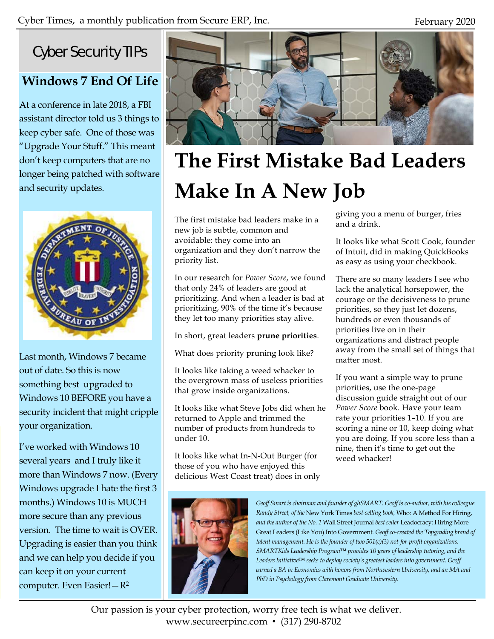## Cyber Security TIPs

## **Windows 7 End Of Life**

At a conference in late 2018, a FBI assistant director told us 3 things to keep cyber safe. One of those was "Upgrade Your Stuff." This meant don't keep computers that are no longer being patched with software and security updates.



Last month, Windows 7 became out of date. So this is now something best upgraded to Windows 10 BEFORE you have a security incident that might cripple your organization.

I've worked with Windows 10 several years and I truly like it more than Windows 7 now. (Every Windows upgrade I hate the first 3 months.) Windows 10 is MUCH more secure than any previous version. The time to wait is OVER. Upgrading is easier than you think and we can help you decide if you can keep it on your current computer. Even Easier!—R2



# **The First Mistake Bad Leaders Make In A New Job**

The first mistake bad leaders make in a new job is subtle, common and avoidable: they come into an organization and they don't narrow the priority list.

In our research for *Power Score*, we found that only 24% of leaders are good at prioritizing. And when a leader is bad at prioritizing, 90% of the time it's because they let too many priorities stay alive.

In short, great leaders **prune priorities**.

What does priority pruning look like?

It looks like taking a weed whacker to the overgrown mass of useless priorities that grow inside organizations.

It looks like what Steve Jobs did when he returned to Apple and trimmed the number of products from hundreds to under 10.

It looks like what In-N-Out Burger (for those of you who have enjoyed this delicious West Coast treat) does in only giving you a menu of burger, fries and a drink.

It looks like what Scott Cook, founder of Intuit, did in making QuickBooks as easy as using your checkbook.

There are so many leaders I see who lack the analytical horsepower, the courage or the decisiveness to prune priorities, so they just let dozens, hundreds or even thousands of priorities live on in their organizations and distract people away from the small set of things that matter most.

If you want a simple way to prune priorities, use the one-page discussion guide straight out of our *Power Score* book. Have your team rate your priorities 1–10. If you are scoring a nine or 10, keep doing what you are doing. If you score less than a nine, then it's time to get out the weed whacker!



*Geoff Smart is chairman and founder of ghSMART. Geoff is co-author, with his colleague Randy Street, of the* New York Times *best-selling book,* Who: A Method For Hiring, *and the author of the No. 1* Wall Street Journal *best seller* Leadocracy: Hiring More Great Leaders (Like You) Into Government*. Geoff co-created the Topgrading brand of talent management. He is the founder of two 501(c)(3) not-for-profit organizations. SMARTKids Leadership Program™ provides 10 years of leadership tutoring, and the Leaders Initiative™ seeks to deploy society's greatest leaders into government. Geoff earned a BA in Economics with honors from Northwestern University, and an MA and PhD in Psychology from Claremont Graduate University.* 

Our passion is your cyber protection, worry free tech is what we deliver. www.secureerpinc.com • (317) 290-8702